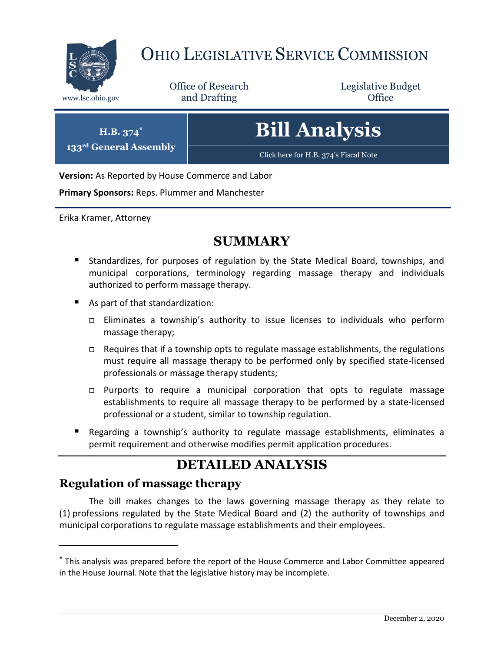

## OHIO LEGISLATIVE SERVICE COMMISSION

Office of Research www.lsc.ohio.gov **and Drafting Office** 

Legislative Budget

# **Bill Analysis**

[Click here for H.B. 374](https://www.legislature.ohio.gov/legislation/legislation-documents?id=GA133-HB-374)'s Fiscal Note

**Version:** As Reported by House Commerce and Labor

**Primary Sponsors:** Reps. Plummer and Manchester

Erika Kramer, Attorney

**H.B. 374\* 133rd General Assembly**

## **SUMMARY**

- Standardizes, for purposes of regulation by the State Medical Board, townships, and municipal corporations, terminology regarding massage therapy and individuals authorized to perform massage therapy.
- As part of that standardization:
	- Eliminates a township's authority to issue licenses to individuals who perform massage therapy;
	- □ Requires that if a township opts to regulate massage establishments, the regulations must require all massage therapy to be performed only by specified state-licensed professionals or massage therapy students;
	- $\Box$  Purports to require a municipal corporation that opts to regulate massage establishments to require all massage therapy to be performed by a state-licensed professional or a student, similar to township regulation.
- Regarding a township's authority to regulate massage establishments, eliminates a permit requirement and otherwise modifies permit application procedures.

## **DETAILED ANALYSIS**

### **Regulation of massage therapy**

 $\overline{a}$ 

The bill makes changes to the laws governing massage therapy as they relate to (1) professions regulated by the State Medical Board and (2) the authority of townships and municipal corporations to regulate massage establishments and their employees.

<sup>\*</sup> This analysis was prepared before the report of the House Commerce and Labor Committee appeared in the House Journal. Note that the legislative history may be incomplete.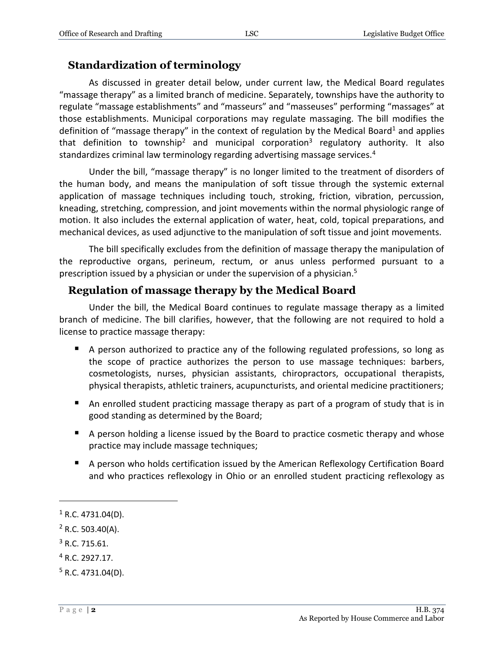#### **Standardization of terminology**

As discussed in greater detail below, under current law, the Medical Board regulates "massage therapy" as a limited branch of medicine. Separately, townships have the authority to regulate "massage establishments" and "masseurs" and "masseuses" performing "massages" at those establishments. Municipal corporations may regulate massaging. The bill modifies the definition of "massage therapy" in the context of regulation by the Medical Board<sup>1</sup> and applies that definition to township<sup>2</sup> and municipal corporation<sup>3</sup> regulatory authority. It also standardizes criminal law terminology regarding advertising massage services.<sup>4</sup>

Under the bill, "massage therapy" is no longer limited to the treatment of disorders of the human body, and means the manipulation of soft tissue through the systemic external application of massage techniques including touch, stroking, friction, vibration, percussion, kneading, stretching, compression, and joint movements within the normal physiologic range of motion. It also includes the external application of water, heat, cold, topical preparations, and mechanical devices, as used adjunctive to the manipulation of soft tissue and joint movements.

The bill specifically excludes from the definition of massage therapy the manipulation of the reproductive organs, perineum, rectum, or anus unless performed pursuant to a prescription issued by a physician or under the supervision of a physician.<sup>5</sup>

#### **Regulation of massage therapy by the Medical Board**

Under the bill, the Medical Board continues to regulate massage therapy as a limited branch of medicine. The bill clarifies, however, that the following are not required to hold a license to practice massage therapy:

- A person authorized to practice any of the following regulated professions, so long as the scope of practice authorizes the person to use massage techniques: barbers, cosmetologists, nurses, physician assistants, chiropractors, occupational therapists, physical therapists, athletic trainers, acupuncturists, and oriental medicine practitioners;
- An enrolled student practicing massage therapy as part of a program of study that is in good standing as determined by the Board;
- A person holding a license issued by the Board to practice cosmetic therapy and whose practice may include massage techniques;
- A person who holds certification issued by the American Reflexology Certification Board and who practices reflexology in Ohio or an enrolled student practicing reflexology as

 $1$  R.C. 4731.04(D).

 $2$  R.C. 503.40(A).

 $3$  R.C. 715.61.

<sup>4</sup> R.C. 2927.17.

 $5$  R.C. 4731.04(D).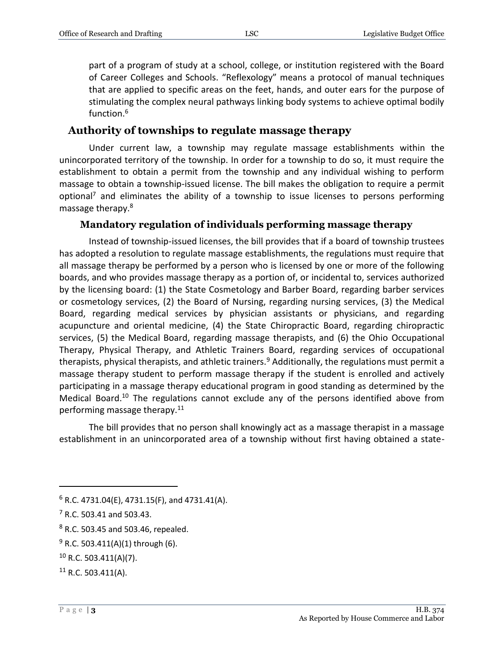part of a program of study at a school, college, or institution registered with the Board of Career Colleges and Schools. "Reflexology" means a protocol of manual techniques that are applied to specific areas on the feet, hands, and outer ears for the purpose of stimulating the complex neural pathways linking body systems to achieve optimal bodily function.<sup>6</sup>

#### **Authority of townships to regulate massage therapy**

Under current law, a township may regulate massage establishments within the unincorporated territory of the township. In order for a township to do so, it must require the establishment to obtain a permit from the township and any individual wishing to perform massage to obtain a township-issued license. The bill makes the obligation to require a permit optional<sup>7</sup> and eliminates the ability of a township to issue licenses to persons performing massage therapy.<sup>8</sup>

#### **Mandatory regulation of individuals performing massage therapy**

Instead of township-issued licenses, the bill provides that if a board of township trustees has adopted a resolution to regulate massage establishments, the regulations must require that all massage therapy be performed by a person who is licensed by one or more of the following boards, and who provides massage therapy as a portion of, or incidental to, services authorized by the licensing board: (1) the State Cosmetology and Barber Board, regarding barber services or cosmetology services, (2) the Board of Nursing, regarding nursing services, (3) the Medical Board, regarding medical services by physician assistants or physicians, and regarding acupuncture and oriental medicine, (4) the State Chiropractic Board, regarding chiropractic services, (5) the Medical Board, regarding massage therapists, and (6) the Ohio Occupational Therapy, Physical Therapy, and Athletic Trainers Board, regarding services of occupational therapists, physical therapists, and athletic trainers.<sup>9</sup> Additionally, the regulations must permit a massage therapy student to perform massage therapy if the student is enrolled and actively participating in a massage therapy educational program in good standing as determined by the Medical Board.<sup>10</sup> The regulations cannot exclude any of the persons identified above from performing massage therapy. $11$ 

The bill provides that no person shall knowingly act as a massage therapist in a massage establishment in an unincorporated area of a township without first having obtained a state-

 $6$  R.C. 4731.04(E), 4731.15(F), and 4731.41(A).

 $7$  R.C. 503.41 and 503.43.

<sup>8</sup> R.C. 503.45 and 503.46, repealed.

 $9$  R.C. 503.411(A)(1) through (6).

 $10$  R.C. 503.411(A)(7).

 $11$  R.C. 503.411(A).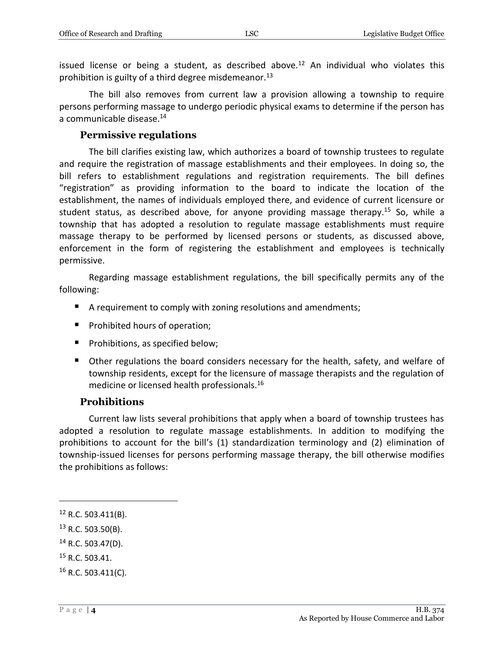issued license or being a student, as described above.<sup>12</sup> An individual who violates this prohibition is guilty of a third degree misdemeanor.<sup>13</sup>

The bill also removes from current law a provision allowing a township to require persons performing massage to undergo periodic physical exams to determine if the person has a communicable disease.<sup>14</sup>

#### **Permissive regulations**

The bill clarifies existing law, which authorizes a board of township trustees to regulate and require the registration of massage establishments and their employees. In doing so, the bill refers to establishment regulations and registration requirements. The bill defines "registration" as providing information to the board to indicate the location of the establishment, the names of individuals employed there, and evidence of current licensure or student status, as described above, for anyone providing massage therapy.<sup>15</sup> So, while a township that has adopted a resolution to regulate massage establishments must require massage therapy to be performed by licensed persons or students, as discussed above, enforcement in the form of registering the establishment and employees is technically permissive.

Regarding massage establishment regulations, the bill specifically permits any of the following:

- A requirement to comply with zoning resolutions and amendments;
- **Prohibited hours of operation;**
- **Prohibitions, as specified below;**
- **Dealth** Other regulations the board considers necessary for the health, safety, and welfare of township residents, except for the licensure of massage therapists and the regulation of medicine or licensed health professionals. 16

#### **Prohibitions**

Current law lists several prohibitions that apply when a board of township trustees has adopted a resolution to regulate massage establishments. In addition to modifying the prohibitions to account for the bill's (1) standardization terminology and (2) elimination of township-issued licenses for persons performing massage therapy, the bill otherwise modifies the prohibitions as follows:

 $\overline{a}$ 

<sup>15</sup> R.C. 503.41.

 $12$  R.C. 503.411(B).

 $13$  R.C. 503.50(B).

 $14$  R.C. 503.47(D).

 $16$  R.C. 503.411(C).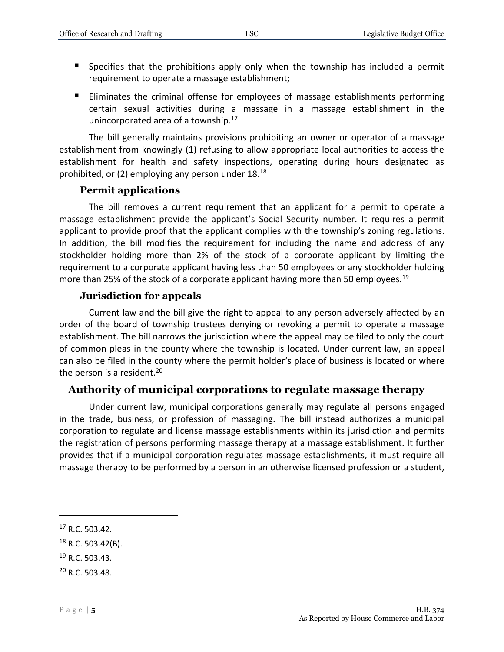- Specifies that the prohibitions apply only when the township has included a permit requirement to operate a massage establishment;
- Eliminates the criminal offense for employees of massage establishments performing certain sexual activities during a massage in a massage establishment in the unincorporated area of a township.<sup>17</sup>

The bill generally maintains provisions prohibiting an owner or operator of a massage establishment from knowingly (1) refusing to allow appropriate local authorities to access the establishment for health and safety inspections, operating during hours designated as prohibited, or (2) employing any person under 18.<sup>18</sup>

#### **Permit applications**

The bill removes a current requirement that an applicant for a permit to operate a massage establishment provide the applicant's Social Security number. It requires a permit applicant to provide proof that the applicant complies with the township's zoning regulations. In addition, the bill modifies the requirement for including the name and address of any stockholder holding more than 2% of the stock of a corporate applicant by limiting the requirement to a corporate applicant having less than 50 employees or any stockholder holding more than 25% of the stock of a corporate applicant having more than 50 employees.<sup>19</sup>

#### **Jurisdiction for appeals**

Current law and the bill give the right to appeal to any person adversely affected by an order of the board of township trustees denying or revoking a permit to operate a massage establishment. The bill narrows the jurisdiction where the appeal may be filed to only the court of common pleas in the county where the township is located. Under current law, an appeal can also be filed in the county where the permit holder's place of business is located or where the person is a resident.<sup>20</sup>

#### **Authority of municipal corporations to regulate massage therapy**

Under current law, municipal corporations generally may regulate all persons engaged in the trade, business, or profession of massaging. The bill instead authorizes a municipal corporation to regulate and license massage establishments within its jurisdiction and permits the registration of persons performing massage therapy at a massage establishment. It further provides that if a municipal corporation regulates massage establishments, it must require all massage therapy to be performed by a person in an otherwise licensed profession or a student,

- <sup>19</sup> R.C. 503.43.
- <sup>20</sup> R.C. 503.48.

<sup>17</sup> R.C. 503.42.

 $18$  R.C. 503.42(B).